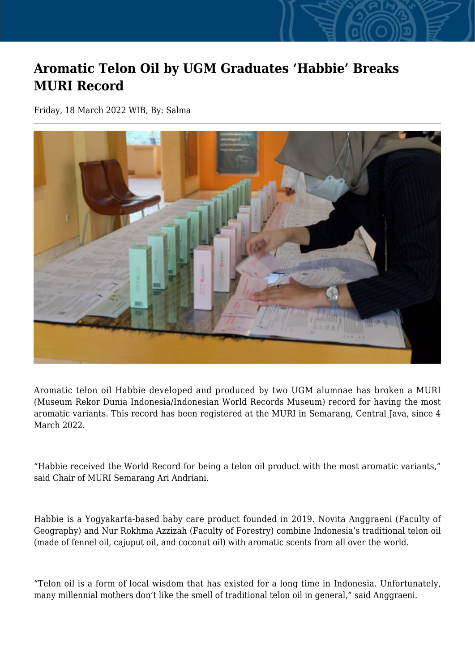## **Aromatic Telon Oil by UGM Graduates 'Habbie' Breaks MURI Record**

Friday, 18 March 2022 WIB, By: Salma



Aromatic telon oil Habbie developed and produced by two UGM alumnae has broken a MURI (Museum Rekor Dunia Indonesia/Indonesian World Records Museum) record for having the most aromatic variants. This record has been registered at the MURI in Semarang, Central Java, since 4 March 2022.

"Habbie received the World Record for being a telon oil product with the most aromatic variants," said Chair of MURI Semarang Ari Andriani.

Habbie is a Yogyakarta-based baby care product founded in 2019. Novita Anggraeni (Faculty of Geography) and Nur Rokhma Azzizah (Faculty of Forestry) combine Indonesia's traditional telon oil (made of fennel oil, cajuput oil, and coconut oil) with aromatic scents from all over the world.

"Telon oil is a form of local wisdom that has existed for a long time in Indonesia. Unfortunately, many millennial mothers don't like the smell of traditional telon oil in general," said Anggraeni.